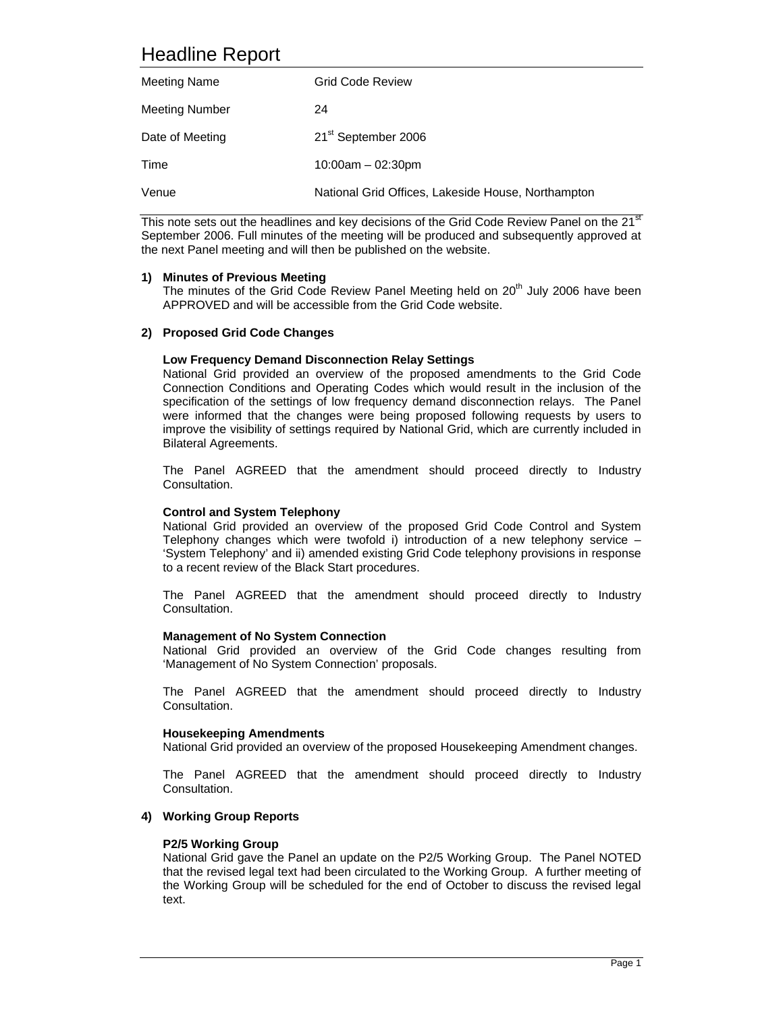# Headline Report

| Meeting Name          | Grid Code Review                                   |
|-----------------------|----------------------------------------------------|
| <b>Meeting Number</b> | 24                                                 |
| Date of Meeting       | 21 <sup>st</sup> September 2006                    |
| Time                  | $10:00$ am $-02:30$ pm                             |
| Venue                 | National Grid Offices, Lakeside House, Northampton |

This note sets out the headlines and key decisions of the Grid Code Review Panel on the 21<sup>st</sup> September 2006. Full minutes of the meeting will be produced and subsequently approved at the next Panel meeting and will then be published on the website.

# **1) Minutes of Previous Meeting**

The minutes of the Grid Code Review Panel Meeting held on  $20<sup>th</sup>$  July 2006 have been APPROVED and will be accessible from the Grid Code website.

# **2) Proposed Grid Code Changes**

# **Low Frequency Demand Disconnection Relay Settings**

 National Grid provided an overview of the proposed amendments to the Grid Code Connection Conditions and Operating Codes which would result in the inclusion of the specification of the settings of low frequency demand disconnection relays. The Panel were informed that the changes were being proposed following requests by users to improve the visibility of settings required by National Grid, which are currently included in Bilateral Agreements.

 The Panel AGREED that the amendment should proceed directly to Industry Consultation.

#### **Control and System Telephony**

National Grid provided an overview of the proposed Grid Code Control and System Telephony changes which were twofold i) introduction of a new telephony service – 'System Telephony' and ii) amended existing Grid Code telephony provisions in response to a recent review of the Black Start procedures.

 The Panel AGREED that the amendment should proceed directly to Industry Consultation.

#### **Management of No System Connection**

National Grid provided an overview of the Grid Code changes resulting from 'Management of No System Connection' proposals.

 The Panel AGREED that the amendment should proceed directly to Industry Consultation.

#### **Housekeeping Amendments**

National Grid provided an overview of the proposed Housekeeping Amendment changes.

 The Panel AGREED that the amendment should proceed directly to Industry Consultation.

#### **4) Working Group Reports**

#### **P2/5 Working Group**

National Grid gave the Panel an update on the P2/5 Working Group. The Panel NOTED that the revised legal text had been circulated to the Working Group. A further meeting of the Working Group will be scheduled for the end of October to discuss the revised legal text.